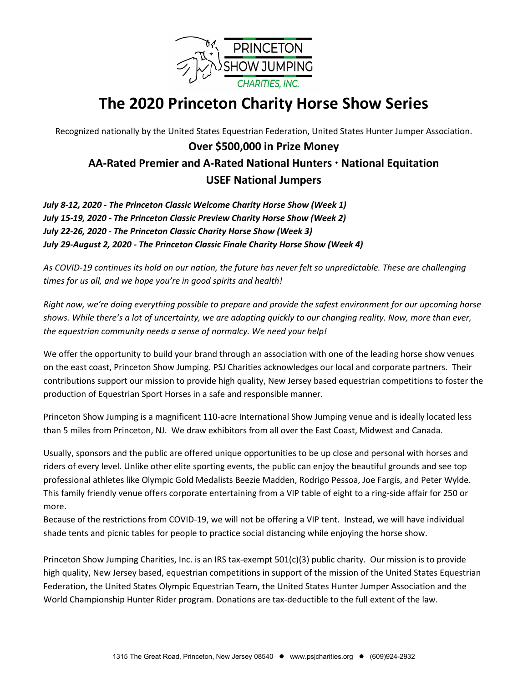

# **The 2020 Princeton Charity Horse Show Series**

Recognized nationally by the United States Equestrian Federation, United States Hunter Jumper Association.

## **Over \$500,000 in Prize Money AA-Rated Premier and A-Rated National Hunters National Equitation USEF National Jumpers**

*July 8-12, 2020 - The Princeton Classic Welcome Charity Horse Show (Week 1) July 15-19, 2020 - The Princeton Classic Preview Charity Horse Show (Week 2) July 22-26, 2020 - The Princeton Classic Charity Horse Show (Week 3) July 29-August 2, 2020 - The Princeton Classic Finale Charity Horse Show (Week 4)*

*As COVID-19 continues its hold on our nation, the future has never felt so unpredictable. These are challenging times for us all, and we hope you're in good spirits and health!* 

*Right now, we're doing everything possible to prepare and provide the safest environment for our upcoming horse shows. While there's a lot of uncertainty, we are adapting quickly to our changing reality. Now, more than ever, the equestrian community needs a sense of normalcy. We need your help!*

We offer the opportunity to build your brand through an association with one of the leading horse show venues on the east coast, Princeton Show Jumping. PSJ Charities acknowledges our local and corporate partners. Their contributions support our mission to provide high quality, New Jersey based equestrian competitions to foster the production of Equestrian Sport Horses in a safe and responsible manner.

Princeton Show Jumping is a magnificent 110-acre International Show Jumping venue and is ideally located less than 5 miles from Princeton, NJ. We draw exhibitors from all over the East Coast, Midwest and Canada.

Usually, sponsors and the public are offered unique opportunities to be up close and personal with horses and riders of every level. Unlike other elite sporting events, the public can enjoy the beautiful grounds and see top professional athletes like Olympic Gold Medalists Beezie Madden, Rodrigo Pessoa, Joe Fargis, and Peter Wylde. This family friendly venue offers corporate entertaining from a VIP table of eight to a ring-side affair for 250 or more.

Because of the restrictions from COVID-19, we will not be offering a VIP tent. Instead, we will have individual shade tents and picnic tables for people to practice social distancing while enjoying the horse show.

Princeton Show Jumping Charities, Inc. is an IRS tax-exempt 501(c)(3) public charity. Our mission is to provide high quality, New Jersey based, equestrian competitions in support of the mission of the United States Equestrian Federation, the United States Olympic Equestrian Team, the United States Hunter Jumper Association and the World Championship Hunter Rider program. Donations are tax-deductible to the full extent of the law.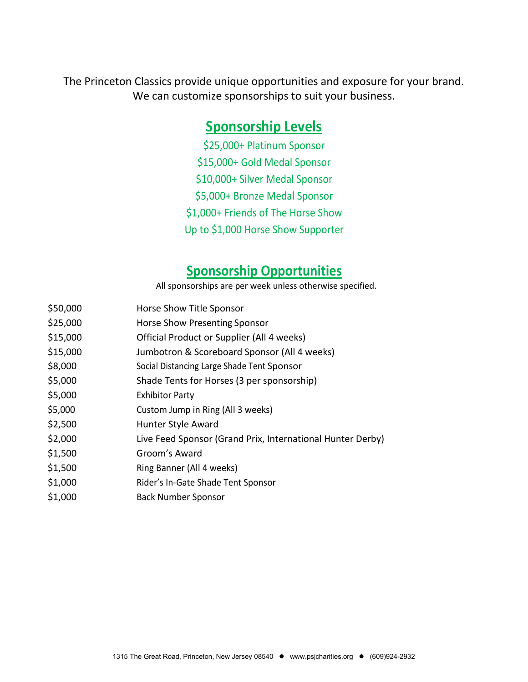The Princeton Classics provide unique opportunities and exposure for your brand. We can customize sponsorships to suit your business.

# **Sponsorship Levels**

\$25,000+ Platinum Sponsor \$15,000+ Gold Medal Sponsor \$10,000+ Silver Medal Sponsor \$5,000+ Bronze Medal Sponsor \$1,000+ Friends of The Horse Show Up to \$1,000 Horse Show Supporter

## **Sponsorship Opportunities**

All sponsorships are per week unless otherwise specified.

- \$50,000 Horse Show Title Sponsor
- \$25,000 Horse Show Presenting Sponsor
- \$15,000 Official Product or Supplier (All 4 weeks)
- \$15,000 Jumbotron & Scoreboard Sponsor (All 4 weeks)
- \$8,000 Social Distancing Large Shade Tent Sponsor
- \$5,000 Shade Tents for Horses (3 per sponsorship)
- \$5,000 Exhibitor Party
- \$5,000 Custom Jump in Ring (All 3 weeks)
- \$2,500 Hunter Style Award
- \$2,000 Live Feed Sponsor (Grand Prix, International Hunter Derby)
- \$1,500 Groom's Award
- \$1,500 Ring Banner (All 4 weeks)
- \$1,000 Rider's In-Gate Shade Tent Sponsor
- \$1,000 Back Number Sponsor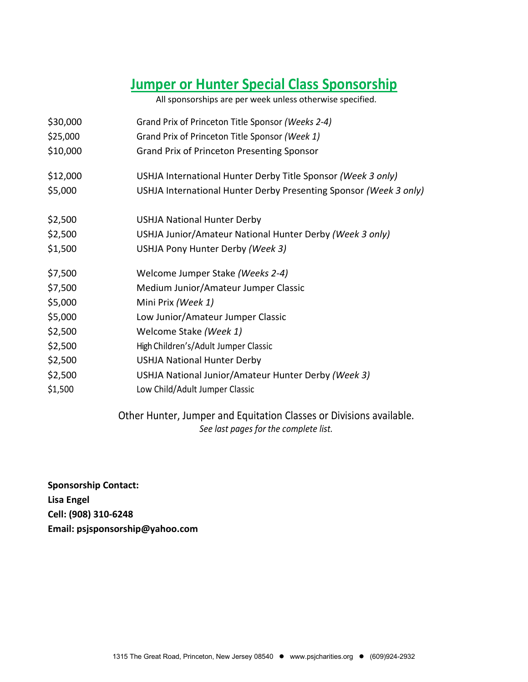# **Jumper or Hunter Special Class Sponsorship**

All sponsorships are per week unless otherwise specified.

| \$30,000<br>\$25,000 | Grand Prix of Princeton Title Sponsor (Weeks 2-4)<br>Grand Prix of Princeton Title Sponsor (Week 1) |
|----------------------|-----------------------------------------------------------------------------------------------------|
| \$10,000             | <b>Grand Prix of Princeton Presenting Sponsor</b>                                                   |
| \$12,000             | USHJA International Hunter Derby Title Sponsor (Week 3 only)                                        |
| \$5,000              | USHJA International Hunter Derby Presenting Sponsor (Week 3 only)                                   |
| \$2,500              | <b>USHJA National Hunter Derby</b>                                                                  |
| \$2,500              | USHJA Junior/Amateur National Hunter Derby (Week 3 only)                                            |
| \$1,500              | USHJA Pony Hunter Derby (Week 3)                                                                    |
| \$7,500              | Welcome Jumper Stake (Weeks 2-4)                                                                    |
| \$7,500              | Medium Junior/Amateur Jumper Classic                                                                |
| \$5,000              | Mini Prix (Week 1)                                                                                  |
| \$5,000              | Low Junior/Amateur Jumper Classic                                                                   |
| \$2,500              | Welcome Stake (Week 1)                                                                              |
| \$2,500              | High Children's/Adult Jumper Classic                                                                |
| \$2,500              | <b>USHJA National Hunter Derby</b>                                                                  |
| \$2,500              | USHJA National Junior/Amateur Hunter Derby (Week 3)                                                 |
| \$1,500              | Low Child/Adult Jumper Classic                                                                      |
|                      |                                                                                                     |

Other Hunter, Jumper and Equitation Classes or Divisions available. *See last pages for the complete list.*

**Sponsorship Contact: Lisa Engel Cell: (908) 310-6248 Email: psjsponsorship@yahoo.com**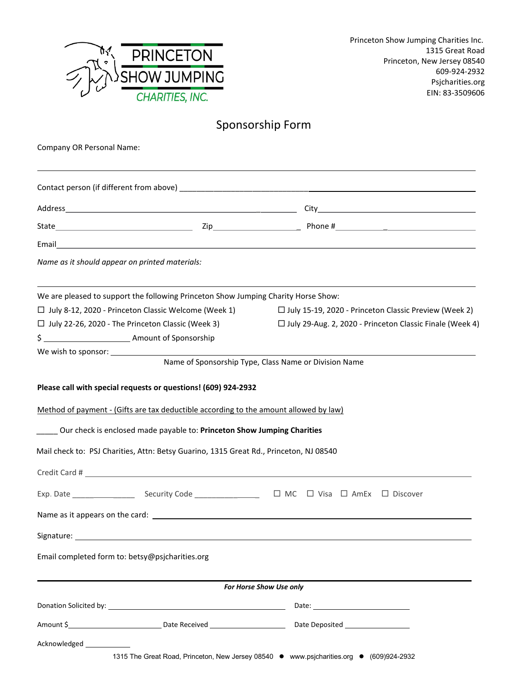

# Sponsorship Form

| Company OR Personal Name:                       |                                                                                                                                                                                                                                                                                                                                     |                                                                                                                 |
|-------------------------------------------------|-------------------------------------------------------------------------------------------------------------------------------------------------------------------------------------------------------------------------------------------------------------------------------------------------------------------------------------|-----------------------------------------------------------------------------------------------------------------|
|                                                 |                                                                                                                                                                                                                                                                                                                                     |                                                                                                                 |
|                                                 |                                                                                                                                                                                                                                                                                                                                     |                                                                                                                 |
|                                                 |                                                                                                                                                                                                                                                                                                                                     |                                                                                                                 |
|                                                 |                                                                                                                                                                                                                                                                                                                                     |                                                                                                                 |
| Name as it should appear on printed materials:  |                                                                                                                                                                                                                                                                                                                                     |                                                                                                                 |
|                                                 | We are pleased to support the following Princeton Show Jumping Charity Horse Show:                                                                                                                                                                                                                                                  |                                                                                                                 |
|                                                 | □ July 8-12, 2020 - Princeton Classic Welcome (Week 1)                                                                                                                                                                                                                                                                              | □ July 15-19, 2020 - Princeton Classic Preview (Week 2)                                                         |
|                                                 | $\Box$ July 22-26, 2020 - The Princeton Classic (Week 3)                                                                                                                                                                                                                                                                            | □ July 29-Aug. 2, 2020 - Princeton Classic Finale (Week 4)                                                      |
|                                                 |                                                                                                                                                                                                                                                                                                                                     |                                                                                                                 |
|                                                 |                                                                                                                                                                                                                                                                                                                                     | Name of Sponsorship Type, Class Name or Division Name                                                           |
|                                                 | Please call with special requests or questions! (609) 924-2932<br>Method of payment - (Gifts are tax deductible according to the amount allowed by law)<br>______ Our check is enclosed made payable to: Princeton Show Jumping Charities<br>Mail check to: PSJ Charities, Attn: Betsy Guarino, 1315 Great Rd., Princeton, NJ 08540 |                                                                                                                 |
|                                                 |                                                                                                                                                                                                                                                                                                                                     |                                                                                                                 |
|                                                 |                                                                                                                                                                                                                                                                                                                                     |                                                                                                                 |
|                                                 |                                                                                                                                                                                                                                                                                                                                     |                                                                                                                 |
|                                                 |                                                                                                                                                                                                                                                                                                                                     |                                                                                                                 |
| Email completed form to: betsy@psjcharities.org |                                                                                                                                                                                                                                                                                                                                     |                                                                                                                 |
|                                                 |                                                                                                                                                                                                                                                                                                                                     | For Horse Show Use only                                                                                         |
|                                                 |                                                                                                                                                                                                                                                                                                                                     |                                                                                                                 |
|                                                 |                                                                                                                                                                                                                                                                                                                                     | Amount \$_____________________________Date Received _____________________________ Date Deposited ______________ |
| Acknowledged <b>National Acknowledged</b>       |                                                                                                                                                                                                                                                                                                                                     |                                                                                                                 |
|                                                 |                                                                                                                                                                                                                                                                                                                                     | 1315 The Great Road, Princeton, New Jersey 08540 · www.psjcharities.org • (609)924-2932                         |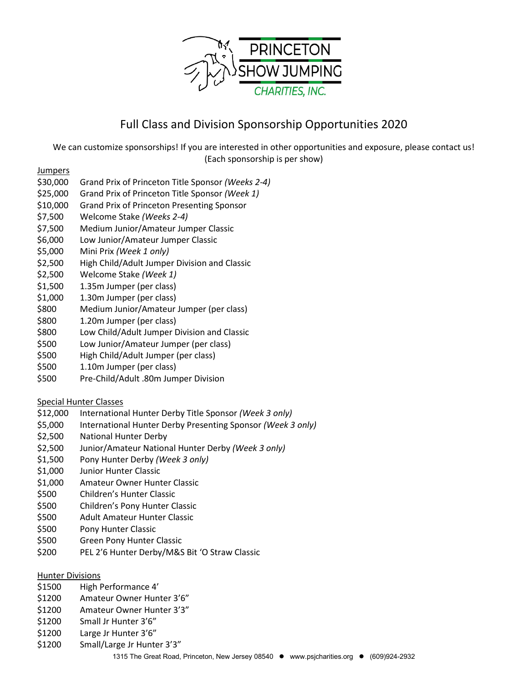

### Full Class and Division Sponsorship Opportunities 2020

We can customize sponsorships! If you are interested in other opportunities and exposure, please contact us! (Each sponsorship is per show)

**Jumpers** 

- \$30,000 Grand Prix of Princeton Title Sponsor *(Weeks 2-4)*
- \$25,000 Grand Prix of Princeton Title Sponsor *(Week 1)*
- \$10,000 Grand Prix of Princeton Presenting Sponsor
- \$7,500 Welcome Stake *(Weeks 2-4)*
- \$7,500 Medium Junior/Amateur Jumper Classic
- \$6,000 Low Junior/Amateur Jumper Classic
- \$5,000 Mini Prix *(Week 1 only)*
- \$2,500 High Child/Adult Jumper Division and Classic
- \$2,500 Welcome Stake *(Week 1)*
- \$1,500 1.35m Jumper (per class)
- \$1,000 1.30m Jumper (per class)
- \$800 Medium Junior/Amateur Jumper (per class)
- \$800 1.20m Jumper (per class)
- \$800 Low Child/Adult Jumper Division and Classic
- \$500 Low Junior/Amateur Jumper (per class)
- \$500 High Child/Adult Jumper (per class)
- \$500 1.10m Jumper (per class)
- \$500 Pre-Child/Adult .80m Jumper Division

### Special Hunter Classes

- \$12,000 International Hunter Derby Title Sponsor *(Week 3 only)*
- \$5,000 International Hunter Derby Presenting Sponsor *(Week 3 only)*
- \$2,500 National Hunter Derby
- \$2,500 Junior/Amateur National Hunter Derby *(Week 3 only)*
- \$1,500 Pony Hunter Derby *(Week 3 only)*
- \$1,000 Junior Hunter Classic
- \$1,000 Amateur Owner Hunter Classic
- \$500 Children's Hunter Classic
- \$500 Children's Pony Hunter Classic
- \$500 Adult Amateur Hunter Classic
- \$500 Pony Hunter Classic
- \$500 Green Pony Hunter Classic
- \$200 PEL 2'6 Hunter Derby/M&S Bit 'O Straw Classic

### Hunter Divisions

- \$1500 High Performance 4'
- \$1200 Amateur Owner Hunter 3'6"
- \$1200 Amateur Owner Hunter 3'3"
- \$1200 Small Jr Hunter 3'6"
- \$1200 Large Jr Hunter 3'6"
- \$1200 Small/Large Jr Hunter 3'3"